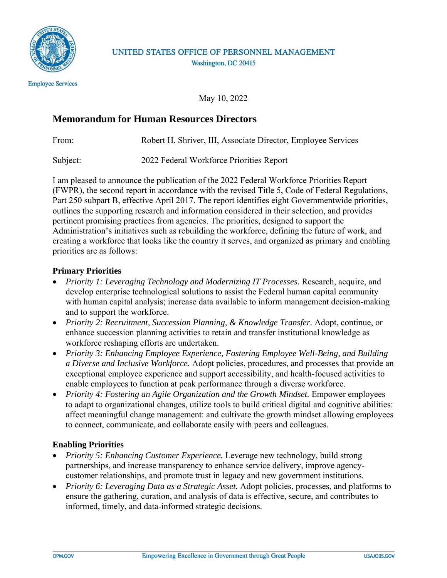

## UNITED STATES OFFICE OF PERSONNEL MANAGEMENT Washington, DC 20415

May 10, 2022

## **Memorandum for Human Resources Directors**

From: Robert H. Shriver, III, Associate Director, Employee Services

Subject: 2022 Federal Workforce Priorities Report

I am pleased to announce the publication of the 2022 Federal Workforce Priorities Report (FWPR), the second report in accordance with the revised Title 5, Code of Federal Regulations, Part 250 subpart B, effective April 2017. The report identifies eight Governmentwide priorities, outlines the supporting research and information considered in their selection, and provides pertinent promising practices from agencies. The priorities, designed to support the Administration's initiatives such as rebuilding the workforce, defining the future of work, and creating a workforce that looks like the country it serves, and organized as primary and enabling priorities are as follows:

## **Primary Priorities**

- *Priority 1: Leveraging Technology and Modernizing IT Processes.* Research, acquire, and develop enterprise technological solutions to assist the Federal human capital community with human capital analysis; increase data available to inform management decision-making and to support the workforce.
- *Priority 2: Recruitment, Succession Planning, & Knowledge Transfer.* Adopt, continue, or enhance succession planning activities to retain and transfer institutional knowledge as workforce reshaping efforts are undertaken.
- *Priority 3: Enhancing Employee Experience, Fostering Employee Well-Being, and Building a Diverse and Inclusive Workforce.* Adopt policies, procedures, and processes that provide an exceptional employee experience and support accessibility, and health-focused activities to enable employees to function at peak performance through a diverse workforce.
- *Priority 4: Fostering an Agile Organization and the Growth Mindset.* Empower employees to adapt to organizational changes, utilize tools to build critical digital and cognitive abilities: affect meaningful change management: and cultivate the growth mindset allowing employees to connect, communicate, and collaborate easily with peers and colleagues.

## **Enabling Priorities**

- *Priority 5: Enhancing Customer Experience.* Leverage new technology, build strong partnerships, and increase transparency to enhance service delivery, improve agencycustomer relationships, and promote trust in legacy and new government institutions.
- *Priority 6: Leveraging Data as a Strategic Asset.* Adopt policies, processes, and platforms to ensure the gathering, curation, and analysis of data is effective, secure, and contributes to informed, timely, and data-informed strategic decisions.